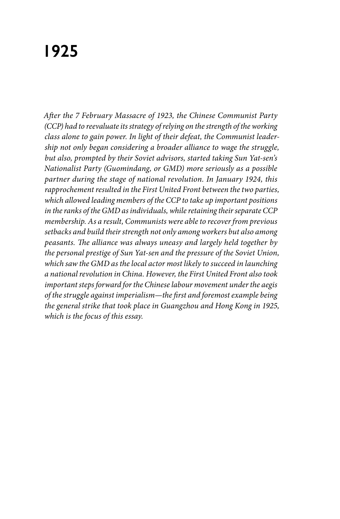## **1925**

*After the 7 February Massacre of 1923, the Chinese Communist Party (CCP) had to reevaluate its strategy of relying on the strength of the working class alone to gain power. In light of their defeat, the Communist leadership not only began considering a broader alliance to wage the struggle, but also, prompted by their Soviet advisors, started taking Sun Yat-sen's Nationalist Party (Guomindang, or GMD) more seriously as a possible partner during the stage of national revolution. In January 1924, this rapprochement resulted in the First United Front between the two parties, which allowed leading members of the CCP to take up important positions in the ranks of the GMD as individuals, while retaining their separate CCP membership. As a result, Communists were able to recover from previous setbacks and build their strength not only among workers but also among peasants. The alliance was always uneasy and largely held together by the personal prestige of Sun Yat-sen and the pressure of the Soviet Union, which saw the GMD as the local actor most likely to succeed in launching a national revolution in China. However, the First United Front also took important steps forward for the Chinese labour movement under the aegis of the struggle against imperialism—the first and foremost example being the general strike that took place in Guangzhou and Hong Kong in 1925, which is the focus of this essay.*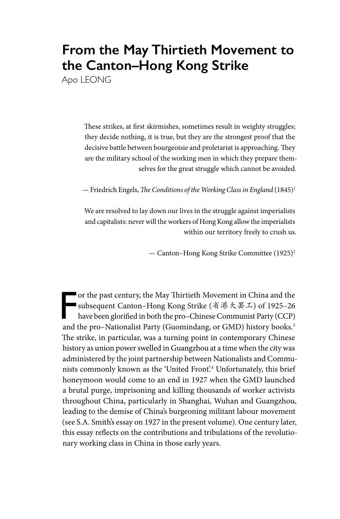## **From the May Thirtieth Movement to the Canton–Hong Kong Strike**

Apo LEONG

These strikes, at first skirmishes, sometimes result in weighty struggles; they decide nothing, it is true, but they are the strongest proof that the decisive battle between bourgeoisie and proletariat is approaching. They are the military school of the working men in which they prepare themselves for the great struggle which cannot be avoided.

— Friedrich Engels, *The Conditions of the Working Class in England* (1845)1

We are resolved to lay down our lives in the struggle against imperialists and capitalists: never will the workers of Hong Kong allow the imperialists within our territory freely to crush us.

— Canton–Hong Kong Strike Committee (1925)2

F<br>and or the past century, the May Thirtieth Movement in China and the subsequent Canton–Hong Kong Strike (省港大罢工) of 1925–26 have been glorified in both the pro–Chinese Communist Party (CCP) and the pro–Nationalist Party (Guomindang, or GMD) history books.<sup>3</sup> The strike, in particular, was a turning point in contemporary Chinese history as union power swelled in Guangzhou at a time when the city was administered by the joint partnership between Nationalists and Communists commonly known as the 'United Front'.4 Unfortunately, this brief honeymoon would come to an end in 1927 when the GMD launched a brutal purge, imprisoning and killing thousands of worker activists throughout China, particularly in Shanghai, Wuhan and Guangzhou, leading to the demise of China's burgeoning militant labour movement (see S.A. Smith's essay on 1927 in the present volume). One century later, this essay reflects on the contributions and tribulations of the revolutionary working class in China in those early years.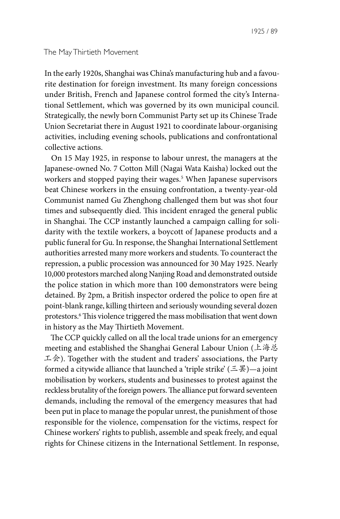The May Thirtieth Movement

In the early 1920s, Shanghai was China's manufacturing hub and a favourite destination for foreign investment. Its many foreign concessions under British, French and Japanese control formed the city's International Settlement, which was governed by its own municipal council. Strategically, the newly born Communist Party set up its Chinese Trade Union Secretariat there in August 1921 to coordinate labour-organising activities, including evening schools, publications and confrontational collective actions.

On 15 May 1925, in response to labour unrest, the managers at the Japanese-owned No. 7 Cotton Mill (Nagai Wata Kaisha) locked out the workers and stopped paying their wages.5 When Japanese supervisors beat Chinese workers in the ensuing confrontation, a twenty-year-old Communist named Gu Zhenghong challenged them but was shot four times and subsequently died. This incident enraged the general public in Shanghai. The CCP instantly launched a campaign calling for solidarity with the textile workers, a boycott of Japanese products and a public funeral for Gu. In response, the Shanghai International Settlement authorities arrested many more workers and students. To counteract the repression, a public procession was announced for 30 May 1925. Nearly 10,000 protestors marched along Nanjing Road and demonstrated outside the police station in which more than 100 demonstrators were being detained. By 2pm, a British inspector ordered the police to open fire at point-blank range, killing thirteen and seriously wounding several dozen protestors.6 This violence triggered the mass mobilisation that went down in history as the May Thirtieth Movement.

The CCP quickly called on all the local trade unions for an emergency meeting and established the Shanghai General Labour Union (上海总 工会). Together with the student and traders' associations, the Party formed a citywide alliance that launched a 'triple strike'  $(\equiv \mathbb{E})$ —a joint mobilisation by workers, students and businesses to protest against the reckless brutality of the foreign powers. The alliance put forward seventeen demands, including the removal of the emergency measures that had been put in place to manage the popular unrest, the punishment of those responsible for the violence, compensation for the victims, respect for Chinese workers' rights to publish, assemble and speak freely, and equal rights for Chinese citizens in the International Settlement. In response,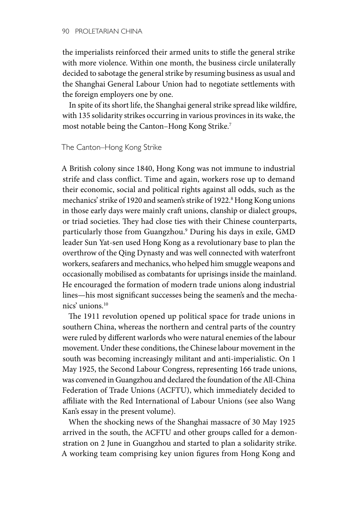the imperialists reinforced their armed units to stifle the general strike with more violence. Within one month, the business circle unilaterally decided to sabotage the general strike by resuming business as usual and the Shanghai General Labour Union had to negotiate settlements with the foreign employers one by one.

In spite of its short life, the Shanghai general strike spread like wildfire, with 135 solidarity strikes occurring in various provinces in its wake, the most notable being the Canton–Hong Kong Strike.7

The Canton–Hong Kong Strike

A British colony since 1840, Hong Kong was not immune to industrial strife and class conflict. Time and again, workers rose up to demand their economic, social and political rights against all odds, such as the mechanics' strike of 1920 and seamen's strike of 1922.<sup>8</sup> Hong Kong unions in those early days were mainly craft unions, clanship or dialect groups, or triad societies. They had close ties with their Chinese counterparts, particularly those from Guangzhou.9 During his days in exile, GMD leader Sun Yat-sen used Hong Kong as a revolutionary base to plan the overthrow of the Qing Dynasty and was well connected with waterfront workers, seafarers and mechanics, who helped him smuggle weapons and occasionally mobilised as combatants for uprisings inside the mainland. He encouraged the formation of modern trade unions along industrial lines—his most significant successes being the seamen's and the mechanics' unions.10

The 1911 revolution opened up political space for trade unions in southern China, whereas the northern and central parts of the country were ruled by different warlords who were natural enemies of the labour movement. Under these conditions, the Chinese labour movement in the south was becoming increasingly militant and anti-imperialistic. On 1 May 1925, the Second Labour Congress, representing 166 trade unions, was convened in Guangzhou and declared the foundation of the All-China Federation of Trade Unions (ACFTU), which immediately decided to affiliate with the Red International of Labour Unions (see also Wang Kan's essay in the present volume).

When the shocking news of the Shanghai massacre of 30 May 1925 arrived in the south, the ACFTU and other groups called for a demonstration on 2 June in Guangzhou and started to plan a solidarity strike. A working team comprising key union figures from Hong Kong and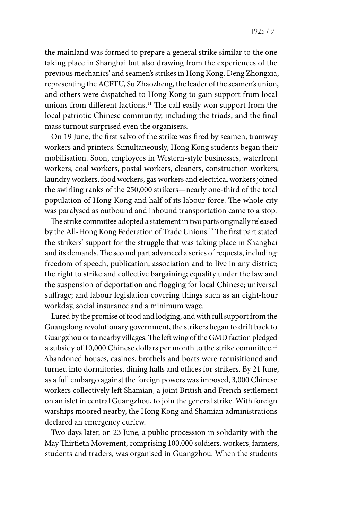the mainland was formed to prepare a general strike similar to the one taking place in Shanghai but also drawing from the experiences of the previous mechanics' and seamen's strikes in Hong Kong. Deng Zhongxia, representing the ACFTU, Su Zhaozheng, the leader of the seamen's union, and others were dispatched to Hong Kong to gain support from local unions from different factions.<sup>11</sup> The call easily won support from the local patriotic Chinese community, including the triads, and the final mass turnout surprised even the organisers.

On 19 June, the first salvo of the strike was fired by seamen, tramway workers and printers. Simultaneously, Hong Kong students began their mobilisation. Soon, employees in Western-style businesses, waterfront workers, coal workers, postal workers, cleaners, construction workers, laundry workers, food workers, gas workers and electrical workers joined the swirling ranks of the 250,000 strikers—nearly one-third of the total population of Hong Kong and half of its labour force. The whole city was paralysed as outbound and inbound transportation came to a stop.

The strike committee adopted a statement in two parts originally released by the All-Hong Kong Federation of Trade Unions.12 The first part stated the strikers' support for the struggle that was taking place in Shanghai and its demands. The second part advanced a series of requests, including: freedom of speech, publication, association and to live in any district; the right to strike and collective bargaining; equality under the law and the suspension of deportation and flogging for local Chinese; universal suffrage; and labour legislation covering things such as an eight-hour workday, social insurance and a minimum wage.

Lured by the promise of food and lodging, and with full support from the Guangdong revolutionary government, the strikers began to drift back to Guangzhou or to nearby villages. The left wing of the GMD faction pledged a subsidy of 10,000 Chinese dollars per month to the strike committee.<sup>13</sup> Abandoned houses, casinos, brothels and boats were requisitioned and turned into dormitories, dining halls and offices for strikers. By 21 June, as a full embargo against the foreign powers was imposed, 3,000 Chinese workers collectively left Shamian, a joint British and French settlement on an islet in central Guangzhou, to join the general strike. With foreign warships moored nearby, the Hong Kong and Shamian administrations declared an emergency curfew.

Two days later, on 23 June, a public procession in solidarity with the May Thirtieth Movement, comprising 100,000 soldiers, workers, farmers, students and traders, was organised in Guangzhou. When the students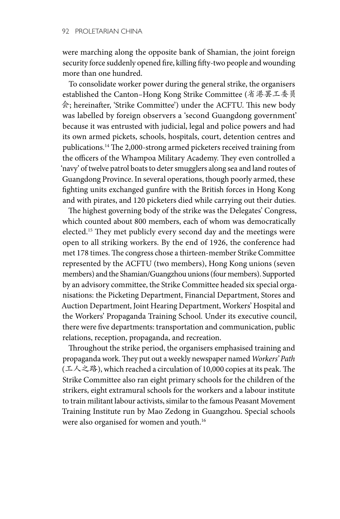were marching along the opposite bank of Shamian, the joint foreign security force suddenly opened fire, killing fifty-two people and wounding more than one hundred.

To consolidate worker power during the general strike, the organisers established the Canton–Hong Kong Strike Committee (省港罢工委员 会; hereinafter, 'Strike Committee') under the ACFTU. This new body was labelled by foreign observers a 'second Guangdong government' because it was entrusted with judicial, legal and police powers and had its own armed pickets, schools, hospitals, court, detention centres and publications.14 The 2,000-strong armed picketers received training from the officers of the Whampoa Military Academy. They even controlled a 'navy' of twelve patrol boats to deter smugglers along sea and land routes of Guangdong Province. In several operations, though poorly armed, these fighting units exchanged gunfire with the British forces in Hong Kong and with pirates, and 120 picketers died while carrying out their duties.

The highest governing body of the strike was the Delegates' Congress, which counted about 800 members, each of whom was democratically elected.15 They met publicly every second day and the meetings were open to all striking workers. By the end of 1926, the conference had met 178 times. The congress chose a thirteen-member Strike Committee represented by the ACFTU (two members), Hong Kong unions (seven members) and the Shamian/Guangzhou unions (four members). Supported by an advisory committee, the Strike Committee headed six special organisations: the Picketing Department, Financial Department, Stores and Auction Department, Joint Hearing Department, Workers' Hospital and the Workers' Propaganda Training School. Under its executive council, there were five departments: transportation and communication, public relations, reception, propaganda, and recreation.

Throughout the strike period, the organisers emphasised training and propaganda work. They put out a weekly newspaper named *Workers' Path*  (工人之路), which reached a circulation of 10,000 copies at its peak. The Strike Committee also ran eight primary schools for the children of the strikers, eight extramural schools for the workers and a labour institute to train militant labour activists, similar to the famous Peasant Movement Training Institute run by Mao Zedong in Guangzhou. Special schools were also organised for women and youth.<sup>16</sup>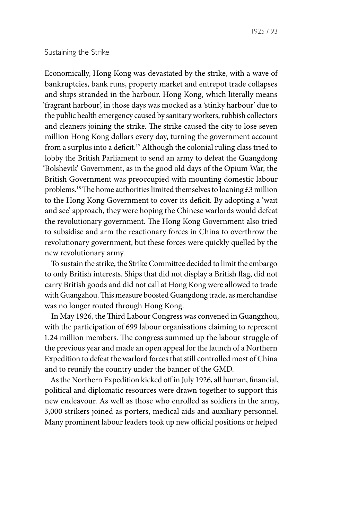## Sustaining the Strike

Economically, Hong Kong was devastated by the strike, with a wave of bankruptcies, bank runs, property market and entrepot trade collapses and ships stranded in the harbour. Hong Kong, which literally means 'fragrant harbour', in those days was mocked as a 'stinky harbour' due to the public health emergency caused by sanitary workers, rubbish collectors and cleaners joining the strike. The strike caused the city to lose seven million Hong Kong dollars every day, turning the government account from a surplus into a deficit.<sup>17</sup> Although the colonial ruling class tried to lobby the British Parliament to send an army to defeat the Guangdong 'Bolshevik' Government, as in the good old days of the Opium War, the British Government was preoccupied with mounting domestic labour problems.<sup>18</sup> The home authorities limited themselves to loaning £3 million to the Hong Kong Government to cover its deficit. By adopting a 'wait and see' approach, they were hoping the Chinese warlords would defeat the revolutionary government. The Hong Kong Government also tried to subsidise and arm the reactionary forces in China to overthrow the revolutionary government, but these forces were quickly quelled by the new revolutionary army.

To sustain the strike, the Strike Committee decided to limit the embargo to only British interests. Ships that did not display a British flag, did not carry British goods and did not call at Hong Kong were allowed to trade with Guangzhou. This measure boosted Guangdong trade, as merchandise was no longer routed through Hong Kong.

In May 1926, the Third Labour Congress was convened in Guangzhou, with the participation of 699 labour organisations claiming to represent 1.24 million members. The congress summed up the labour struggle of the previous year and made an open appeal for the launch of a Northern Expedition to defeat the warlord forces that still controlled most of China and to reunify the country under the banner of the GMD.

As the Northern Expedition kicked off in July 1926, all human, financial, political and diplomatic resources were drawn together to support this new endeavour. As well as those who enrolled as soldiers in the army, 3,000 strikers joined as porters, medical aids and auxiliary personnel. Many prominent labour leaders took up new official positions or helped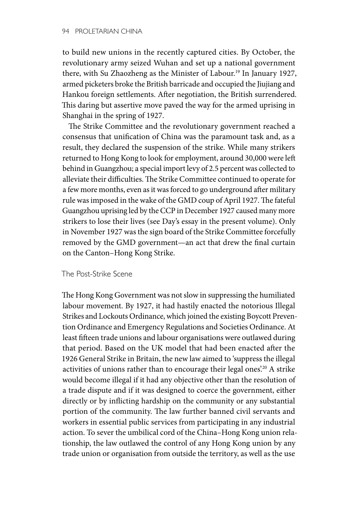to build new unions in the recently captured cities. By October, the revolutionary army seized Wuhan and set up a national government there, with Su Zhaozheng as the Minister of Labour.19 In January 1927, armed picketers broke the British barricade and occupied the Jiujiang and Hankou foreign settlements. After negotiation, the British surrendered. This daring but assertive move paved the way for the armed uprising in Shanghai in the spring of 1927.

The Strike Committee and the revolutionary government reached a consensus that unification of China was the paramount task and, as a result, they declared the suspension of the strike. While many strikers returned to Hong Kong to look for employment, around 30,000 were left behind in Guangzhou; a special import levy of 2.5 percent was collected to alleviate their difficulties. The Strike Committee continued to operate for a few more months, even as it was forced to go underground after military rule was imposed in the wake of the GMD coup of April 1927. The fateful Guangzhou uprising led by the CCP in December 1927 caused many more strikers to lose their lives (see Day's essay in the present volume). Only in November 1927 was the sign board of the Strike Committee forcefully removed by the GMD government—an act that drew the final curtain on the Canton–Hong Kong Strike.

## The Post-Strike Scene

The Hong Kong Government was not slow in suppressing the humiliated labour movement. By 1927, it had hastily enacted the notorious Illegal Strikes and Lockouts Ordinance, which joined the existing Boycott Prevention Ordinance and Emergency Regulations and Societies Ordinance. At least fifteen trade unions and labour organisations were outlawed during that period. Based on the UK model that had been enacted after the 1926 General Strike in Britain, the new law aimed to 'suppress the illegal activities of unions rather than to encourage their legal ones'.<sup>20</sup> A strike would become illegal if it had any objective other than the resolution of a trade dispute and if it was designed to coerce the government, either directly or by inflicting hardship on the community or any substantial portion of the community. The law further banned civil servants and workers in essential public services from participating in any industrial action. To sever the umbilical cord of the China–Hong Kong union relationship, the law outlawed the control of any Hong Kong union by any trade union or organisation from outside the territory, as well as the use